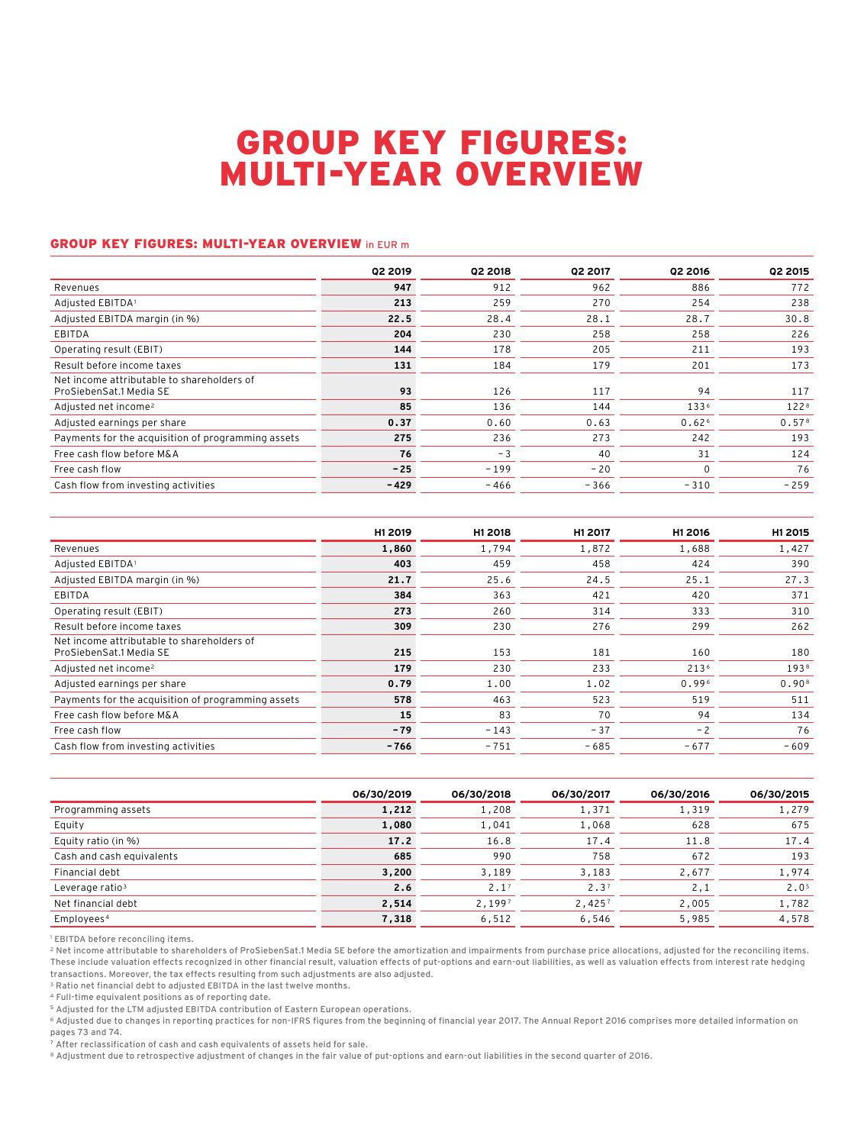## GROUP KEY FIGURES: MULTI-YEAR OVERVIEW

## GROUP KEY FIGURES: MULTI-YEAR OVERVIEW in EUR m

|                                                                       | Q2 2019 | Q2 2018 | Q2 2017 | Q2 2016           | <b>Q2 2015</b>    |
|-----------------------------------------------------------------------|---------|---------|---------|-------------------|-------------------|
| Revenues                                                              | 947     | 912     | 962     | 886               | 772               |
| Adjusted EBITDA1                                                      | 213     | 259     | 270     | 254               | 238               |
| Adjusted EBITDA margin (in %)                                         | 22.5    | 28.4    | 28.1    | 28.7              | 30.8              |
| EBITDA                                                                | 204     | 230     | 258     | 258               | 226               |
| Operating result (EBIT)                                               | 144     | 178     | 205     | 211               | 193               |
| Result before income taxes                                            | 131     | 184     | 179     | 201               | 173               |
| Net income attributable to shareholders of<br>ProSiebenSat.1 Media SE | 93      | 126     | 117     | 94                | 117               |
| Adjusted net income <sup>2</sup>                                      | 85      | 136     | 144     | 1336              | 1228              |
| Adjusted earnings per share                                           | 0.37    | 0.60    | 0.63    | 0.62 <sup>6</sup> | 0.57 <sup>8</sup> |
| Payments for the acquisition of programming assets                    | 275     | 236     | 273     | 242               | 193               |
| Free cash flow before M&A                                             | 76      | $-3$    | 40      | 31                | 124               |
| Free cash flow                                                        | $-25$   | $-199$  | $-20$   | $\mathbf 0$       | 76                |
| Cash flow from investing activities                                   | $-429$  | $-466$  | $-366$  | $-310$            | $-259$            |

| H1 2019 | H1 2018 | H1 2017 | H1 2016 | H1 2015           |
|---------|---------|---------|---------|-------------------|
| 1,860   | 1,794   | 1,872   | 1,688   | 1,427             |
| 403     | 459     | 458     | 424     | 390               |
| 21.7    | 25.6    | 24.5    | 25.1    | 27.3              |
| 384     | 363     | 421     | 420     | 371               |
| 273     | 260     | 314     | 333     | 310               |
| 309     | 230     | 276     | 299     | 262               |
| 215     | 153     | 181     | 160     | 180               |
| 179     | 230     | 233     | 2136    | 1938              |
| 0.79    | 1.00    | 1.02    | 0.996   | 0.90 <sup>8</sup> |
| 578     | 463     | 523     | 519     | 511               |
| 15      | 83      | 70      | 94      | 134               |
| $-79$   | $-143$  | $-37$   | $-2$    | 76                |
| $-766$  | $-751$  | $-685$  | $-677$  | $-609$            |
|         |         |         |         |                   |

|                             | 06/30/2019 | 06/30/2018       | 06/30/2017       | 06/30/2016 | 06/30/2015       |
|-----------------------------|------------|------------------|------------------|------------|------------------|
| Programming assets          | 1,212      | 1,208            | 1,371            | 1,319      | 1,279            |
| Equity                      | 1,080      | 1,041            | 1,068            | 628        | 675              |
| Equity ratio (in %)         | 17.2       | 16.8             | 17.4             | 11.8       | 17.4             |
| Cash and cash equivalents   | 685        | 990              | 758              | 672        | 193              |
| Financial debt              | 3,200      | 3,189            | 3,183            | 2,677      | 1,974            |
| Leverage ratio <sup>3</sup> | 2.6        | 2.1 <sup>7</sup> | 2.3 <sup>7</sup> | 2,1        | 2.0 <sup>5</sup> |
| Net financial debt          | 2,514      | 2,1997           | 2,4257           | 2,005      | 1,782            |
| Employees <sup>4</sup>      | 7,318      | 6,512            | 6,546            | 5,985      | 4,578            |

<sup>1</sup> EBITDA before reconciling items.

2 Net income attributable to shareholders of ProSiebenSat.1 Media SE before the amortization and impairments from purchase price allocations, adjusted for the reconciling items. These include valuation effects recognized in other financial result, valuation effects of put-options and earn-out liabilities, as well as valuation effects from interest rate hedging transactions. Moreover, the tax effects resulting from such adjustments are also adjusted.

3 Ratio net financial debt to adjusted EBITDA in the last twelve months.

4 Full-time equivalent positions as of reporting date.

5 Adjusted for the LTM adjusted EBITDA contribution of Eastern European operations.

6 Adjusted due to changes in reporting practices for non-IFRS figures from the beginning of financial year 2017. The Annual Report 2016 comprises more detailed information on pages 73 and 74.

7 After reclassification of cash and cash equivalents of assets held for sale.

8 Adjustment due to retrospective adjustment of changes in the fair value of put-options and earn-out liabilities in the second quarter of 2016.